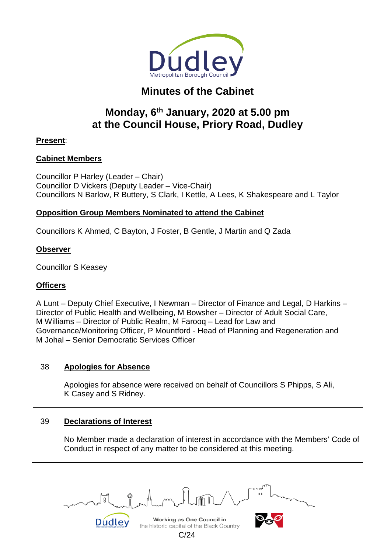

# **Minutes of the Cabinet**

# **Monday, 6th January, 2020 at 5.00 pm at the Council House, Priory Road, Dudley**

# **Present**:

# **Cabinet Members**

Councillor P Harley (Leader – Chair) Councillor D Vickers (Deputy Leader – Vice-Chair) Councillors N Barlow, R Buttery, S Clark, I Kettle, A Lees, K Shakespeare and L Taylor

# **Opposition Group Members Nominated to attend the Cabinet**

Councillors K Ahmed, C Bayton, J Foster, B Gentle, J Martin and Q Zada

## **Observer**

Councillor S Keasey

# **Officers**

A Lunt – Deputy Chief Executive, I Newman – Director of Finance and Legal, D Harkins – Director of Public Health and Wellbeing, M Bowsher – Director of Adult Social Care, M Williams – Director of Public Realm, M Farooq – Lead for Law and Governance/Monitoring Officer, P Mountford - Head of Planning and Regeneration and M Johal – Senior Democratic Services Officer

# 38 **Apologies for Absence**

Apologies for absence were received on behalf of Councillors S Phipps, S Ali, K Casey and S Ridney.

# 39 **Declarations of Interest**

No Member made a declaration of interest in accordance with the Members' Code of Conduct in respect of any matter to be considered at this meeting.

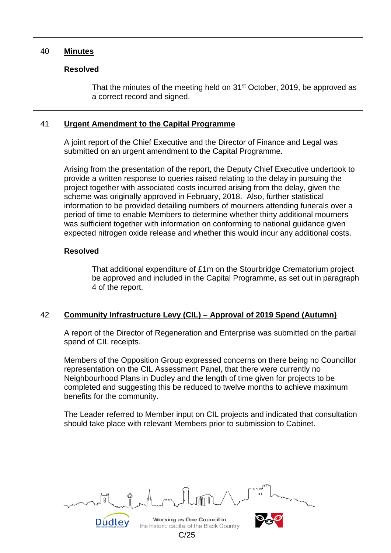#### 40 **Minutes**

#### **Resolved**

That the minutes of the meeting held on  $31<sup>st</sup>$  October, 2019, be approved as a correct record and signed.

#### 41 **Urgent Amendment to the Capital Programme**

A joint report of the Chief Executive and the Director of Finance and Legal was submitted on an urgent amendment to the Capital Programme.

Arising from the presentation of the report, the Deputy Chief Executive undertook to provide a written response to queries raised relating to the delay in pursuing the project together with associated costs incurred arising from the delay, given the scheme was originally approved in February, 2018. Also, further statistical information to be provided detailing numbers of mourners attending funerals over a period of time to enable Members to determine whether thirty additional mourners was sufficient together with information on conforming to national guidance given expected nitrogen oxide release and whether this would incur any additional costs.

#### **Resolved**

That additional expenditure of £1m on the Stourbridge Crematorium project be approved and included in the Capital Programme, as set out in paragraph 4 of the report.

# 42 **Community Infrastructure Levy (CIL) – Approval of 2019 Spend (Autumn)**

A report of the Director of Regeneration and Enterprise was submitted on the partial spend of CIL receipts.

Members of the Opposition Group expressed concerns on there being no Councillor representation on the CIL Assessment Panel, that there were currently no Neighbourhood Plans in Dudley and the length of time given for projects to be completed and suggesting this be reduced to twelve months to achieve maximum benefits for the community.

The Leader referred to Member input on CIL projects and indicated that consultation should take place with relevant Members prior to submission to Cabinet.

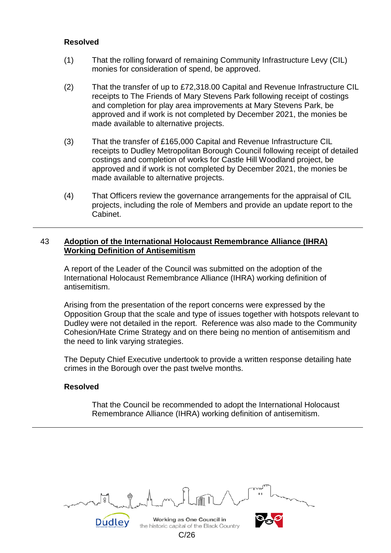## **Resolved**

- (1) That the rolling forward of remaining Community Infrastructure Levy (CIL) monies for consideration of spend, be approved.
- (2) That the transfer of up to £72,318.00 Capital and Revenue Infrastructure CIL receipts to The Friends of Mary Stevens Park following receipt of costings and completion for play area improvements at Mary Stevens Park, be approved and if work is not completed by December 2021, the monies be made available to alternative projects.
- (3) That the transfer of £165,000 Capital and Revenue Infrastructure CIL receipts to Dudley Metropolitan Borough Council following receipt of detailed costings and completion of works for Castle Hill Woodland project, be approved and if work is not completed by December 2021, the monies be made available to alternative projects.
- (4) That Officers review the governance arrangements for the appraisal of CIL projects, including the role of Members and provide an update report to the Cabinet.

### 43 **Adoption of the International Holocaust Remembrance Alliance (IHRA) Working Definition of Antisemitism**

A report of the Leader of the Council was submitted on the adoption of the International Holocaust Remembrance Alliance (IHRA) working definition of antisemitism.

Arising from the presentation of the report concerns were expressed by the Opposition Group that the scale and type of issues together with hotspots relevant to Dudley were not detailed in the report. Reference was also made to the Community Cohesion/Hate Crime Strategy and on there being no mention of antisemitism and the need to link varying strategies.

The Deputy Chief Executive undertook to provide a written response detailing hate crimes in the Borough over the past twelve months.

#### **Resolved**

That the Council be recommended to adopt the International Holocaust Remembrance Alliance (IHRA) working definition of antisemitism.

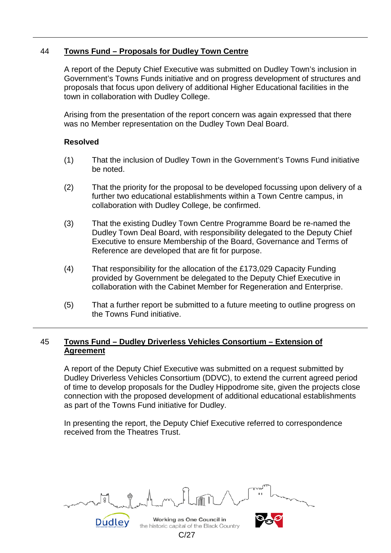# 44 **Towns Fund – Proposals for Dudley Town Centre**

A report of the Deputy Chief Executive was submitted on Dudley Town's inclusion in Government's Towns Funds initiative and on progress development of structures and proposals that focus upon delivery of additional Higher Educational facilities in the town in collaboration with Dudley College.

Arising from the presentation of the report concern was again expressed that there was no Member representation on the Dudley Town Deal Board.

#### **Resolved**

- (1) That the inclusion of Dudley Town in the Government's Towns Fund initiative be noted.
- (2) That the priority for the proposal to be developed focussing upon delivery of a further two educational establishments within a Town Centre campus, in collaboration with Dudley College, be confirmed.
- (3) That the existing Dudley Town Centre Programme Board be re-named the Dudley Town Deal Board, with responsibility delegated to the Deputy Chief Executive to ensure Membership of the Board, Governance and Terms of Reference are developed that are fit for purpose.
- (4) That responsibility for the allocation of the £173,029 Capacity Funding provided by Government be delegated to the Deputy Chief Executive in collaboration with the Cabinet Member for Regeneration and Enterprise.
- (5) That a further report be submitted to a future meeting to outline progress on the Towns Fund initiative.

# 45 **Towns Fund – Dudley Driverless Vehicles Consortium – Extension of Agreement**

A report of the Deputy Chief Executive was submitted on a request submitted by Dudley Driverless Vehicles Consortium (DDVC), to extend the current agreed period of time to develop proposals for the Dudley Hippodrome site, given the projects close connection with the proposed development of additional educational establishments as part of the Towns Fund initiative for Dudley.

In presenting the report, the Deputy Chief Executive referred to correspondence received from the Theatres Trust.

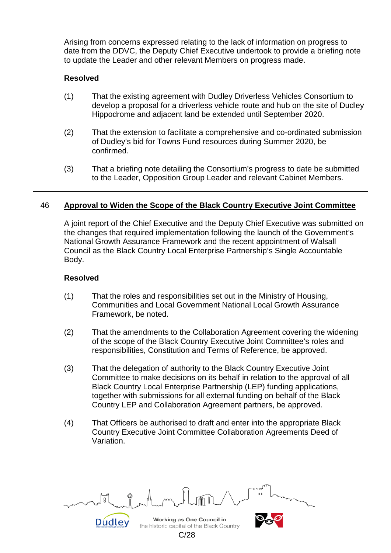Arising from concerns expressed relating to the lack of information on progress to date from the DDVC, the Deputy Chief Executive undertook to provide a briefing note to update the Leader and other relevant Members on progress made.

## **Resolved**

- (1) That the existing agreement with Dudley Driverless Vehicles Consortium to develop a proposal for a driverless vehicle route and hub on the site of Dudley Hippodrome and adjacent land be extended until September 2020.
- (2) That the extension to facilitate a comprehensive and co-ordinated submission of Dudley's bid for Towns Fund resources during Summer 2020, be confirmed.
- (3) That a briefing note detailing the Consortium's progress to date be submitted to the Leader, Opposition Group Leader and relevant Cabinet Members.

## 46 **Approval to Widen the Scope of the Black Country Executive Joint Committee**

A joint report of the Chief Executive and the Deputy Chief Executive was submitted on the changes that required implementation following the launch of the Government's National Growth Assurance Framework and the recent appointment of Walsall Council as the Black Country Local Enterprise Partnership's Single Accountable Body.

#### **Resolved**

- (1) That the roles and responsibilities set out in the Ministry of Housing, Communities and Local Government National Local Growth Assurance Framework, be noted.
- (2) That the amendments to the Collaboration Agreement covering the widening of the scope of the Black Country Executive Joint Committee's roles and responsibilities, Constitution and Terms of Reference, be approved.
- (3) That the delegation of authority to the Black Country Executive Joint Committee to make decisions on its behalf in relation to the approval of all Black Country Local Enterprise Partnership (LEP) funding applications, together with submissions for all external funding on behalf of the Black Country LEP and Collaboration Agreement partners, be approved.
- (4) That Officers be authorised to draft and enter into the appropriate Black Country Executive Joint Committee Collaboration Agreements Deed of Variation.